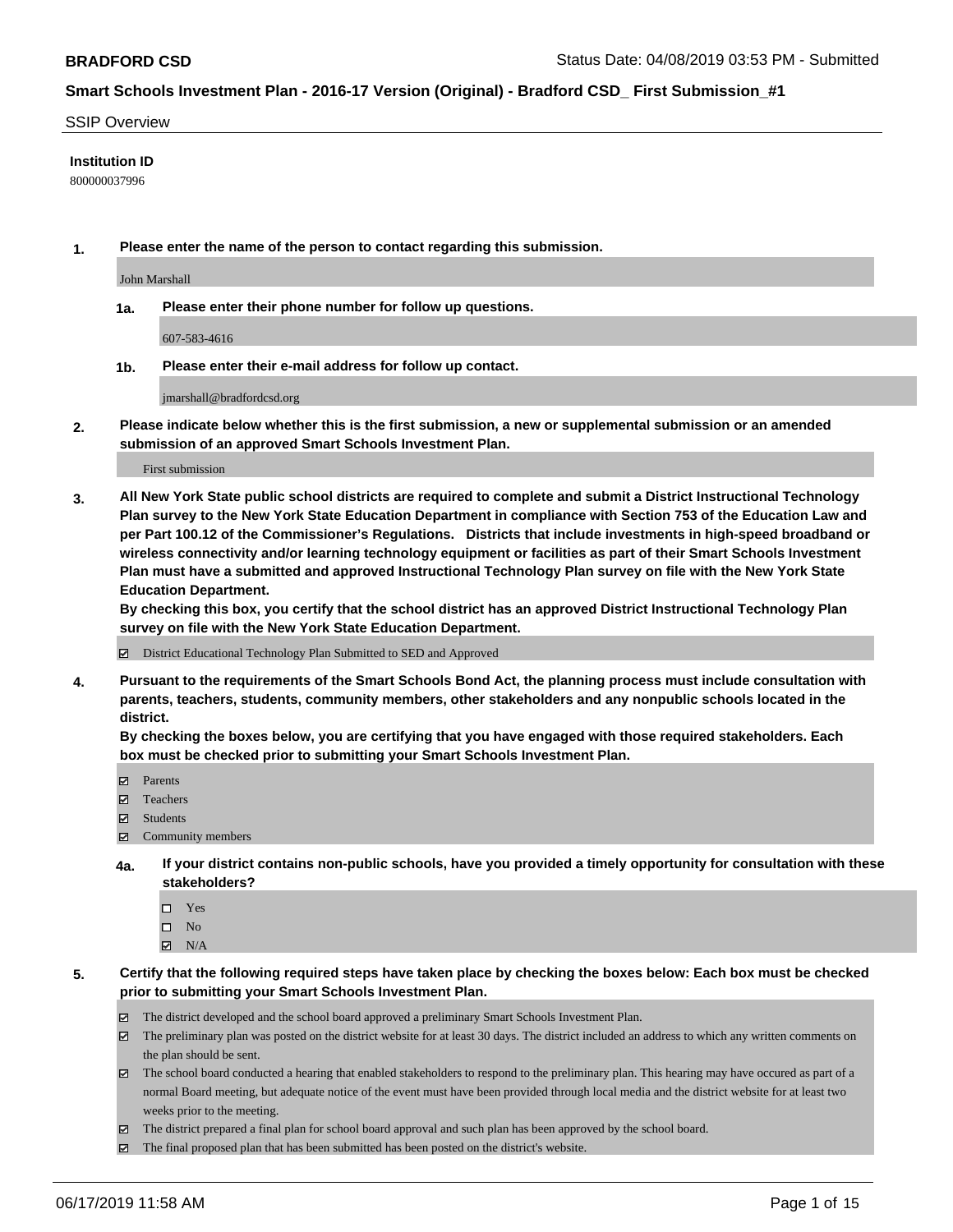#### SSIP Overview

### **Institution ID**

800000037996

**1. Please enter the name of the person to contact regarding this submission.**

John Marshall

**1a. Please enter their phone number for follow up questions.**

607-583-4616

**1b. Please enter their e-mail address for follow up contact.**

jmarshall@bradfordcsd.org

**2. Please indicate below whether this is the first submission, a new or supplemental submission or an amended submission of an approved Smart Schools Investment Plan.**

First submission

**3. All New York State public school districts are required to complete and submit a District Instructional Technology Plan survey to the New York State Education Department in compliance with Section 753 of the Education Law and per Part 100.12 of the Commissioner's Regulations. Districts that include investments in high-speed broadband or wireless connectivity and/or learning technology equipment or facilities as part of their Smart Schools Investment Plan must have a submitted and approved Instructional Technology Plan survey on file with the New York State Education Department.** 

**By checking this box, you certify that the school district has an approved District Instructional Technology Plan survey on file with the New York State Education Department.**

District Educational Technology Plan Submitted to SED and Approved

**4. Pursuant to the requirements of the Smart Schools Bond Act, the planning process must include consultation with parents, teachers, students, community members, other stakeholders and any nonpublic schools located in the district.** 

**By checking the boxes below, you are certifying that you have engaged with those required stakeholders. Each box must be checked prior to submitting your Smart Schools Investment Plan.**

- Parents
- Teachers
- Students
- Community members
- **4a. If your district contains non-public schools, have you provided a timely opportunity for consultation with these stakeholders?**
	- □ Yes
	- $\square$  No
	- $N/A$
- **5. Certify that the following required steps have taken place by checking the boxes below: Each box must be checked prior to submitting your Smart Schools Investment Plan.**
	- The district developed and the school board approved a preliminary Smart Schools Investment Plan.
	- $\boxtimes$  The preliminary plan was posted on the district website for at least 30 days. The district included an address to which any written comments on the plan should be sent.
	- $\boxtimes$  The school board conducted a hearing that enabled stakeholders to respond to the preliminary plan. This hearing may have occured as part of a normal Board meeting, but adequate notice of the event must have been provided through local media and the district website for at least two weeks prior to the meeting.
	- The district prepared a final plan for school board approval and such plan has been approved by the school board.
	- $\boxtimes$  The final proposed plan that has been submitted has been posted on the district's website.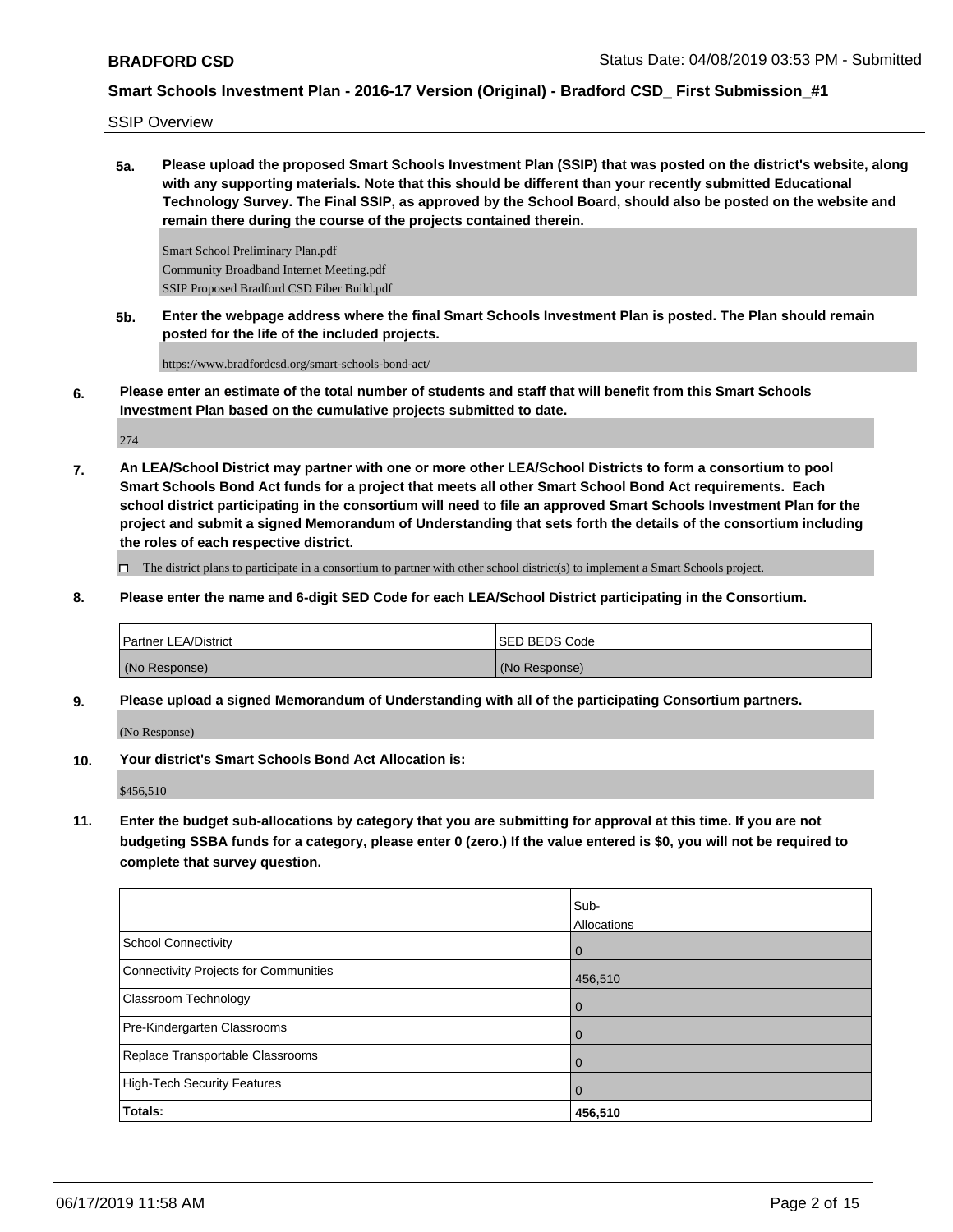SSIP Overview

**5a. Please upload the proposed Smart Schools Investment Plan (SSIP) that was posted on the district's website, along with any supporting materials. Note that this should be different than your recently submitted Educational Technology Survey. The Final SSIP, as approved by the School Board, should also be posted on the website and remain there during the course of the projects contained therein.**

Smart School Preliminary Plan.pdf Community Broadband Internet Meeting.pdf SSIP Proposed Bradford CSD Fiber Build.pdf

**5b. Enter the webpage address where the final Smart Schools Investment Plan is posted. The Plan should remain posted for the life of the included projects.**

https://www.bradfordcsd.org/smart-schools-bond-act/

**6. Please enter an estimate of the total number of students and staff that will benefit from this Smart Schools Investment Plan based on the cumulative projects submitted to date.**

274

**7. An LEA/School District may partner with one or more other LEA/School Districts to form a consortium to pool Smart Schools Bond Act funds for a project that meets all other Smart School Bond Act requirements. Each school district participating in the consortium will need to file an approved Smart Schools Investment Plan for the project and submit a signed Memorandum of Understanding that sets forth the details of the consortium including the roles of each respective district.**

The district plans to participate in a consortium to partner with other school district(s) to implement a Smart Schools project.

**8. Please enter the name and 6-digit SED Code for each LEA/School District participating in the Consortium.**

| Partner LEA/District | ISED BEDS Code |
|----------------------|----------------|
| (No Response)        | (No Response)  |

**9. Please upload a signed Memorandum of Understanding with all of the participating Consortium partners.**

(No Response)

**10. Your district's Smart Schools Bond Act Allocation is:**

\$456,510

**11. Enter the budget sub-allocations by category that you are submitting for approval at this time. If you are not budgeting SSBA funds for a category, please enter 0 (zero.) If the value entered is \$0, you will not be required to complete that survey question.**

|                                       | Sub-           |
|---------------------------------------|----------------|
|                                       | Allocations    |
| School Connectivity                   | $\overline{0}$ |
| Connectivity Projects for Communities | 456,510        |
| <b>Classroom Technology</b>           | $\overline{0}$ |
| Pre-Kindergarten Classrooms           | $\Omega$       |
| Replace Transportable Classrooms      | $\Omega$       |
| High-Tech Security Features           | $\mathbf 0$    |
| Totals:                               | 456,510        |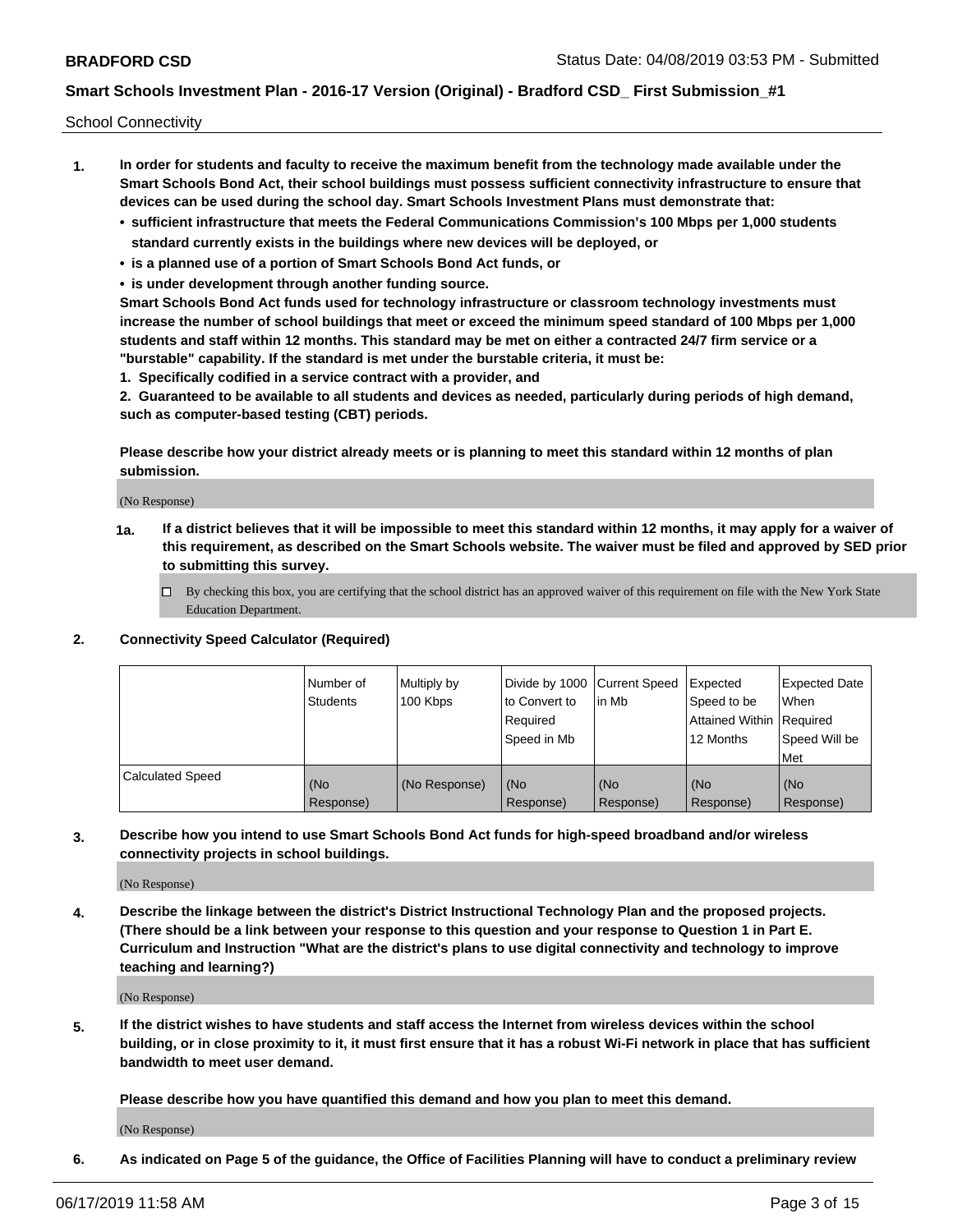School Connectivity

- **1. In order for students and faculty to receive the maximum benefit from the technology made available under the Smart Schools Bond Act, their school buildings must possess sufficient connectivity infrastructure to ensure that devices can be used during the school day. Smart Schools Investment Plans must demonstrate that:**
	- **• sufficient infrastructure that meets the Federal Communications Commission's 100 Mbps per 1,000 students standard currently exists in the buildings where new devices will be deployed, or**
	- **• is a planned use of a portion of Smart Schools Bond Act funds, or**
	- **• is under development through another funding source.**

**Smart Schools Bond Act funds used for technology infrastructure or classroom technology investments must increase the number of school buildings that meet or exceed the minimum speed standard of 100 Mbps per 1,000 students and staff within 12 months. This standard may be met on either a contracted 24/7 firm service or a "burstable" capability. If the standard is met under the burstable criteria, it must be:**

**1. Specifically codified in a service contract with a provider, and**

**2. Guaranteed to be available to all students and devices as needed, particularly during periods of high demand, such as computer-based testing (CBT) periods.**

**Please describe how your district already meets or is planning to meet this standard within 12 months of plan submission.**

(No Response)

**1a. If a district believes that it will be impossible to meet this standard within 12 months, it may apply for a waiver of this requirement, as described on the Smart Schools website. The waiver must be filed and approved by SED prior to submitting this survey.**

 $\Box$  By checking this box, you are certifying that the school district has an approved waiver of this requirement on file with the New York State Education Department.

#### **2. Connectivity Speed Calculator (Required)**

|                         | Number of<br>Students | Multiply by<br>100 Kbps | Divide by 1000 Current Speed<br>to Convert to<br>Required<br>Speed in Mb | lin Mb             | Expected<br>Speed to be<br>Attained Within   Required<br>12 Months | <b>Expected Date</b><br><b>When</b><br>Speed Will be<br>Met |
|-------------------------|-----------------------|-------------------------|--------------------------------------------------------------------------|--------------------|--------------------------------------------------------------------|-------------------------------------------------------------|
| <b>Calculated Speed</b> | (No<br>Response)      | (No Response)           | l (No<br>Response)                                                       | l (No<br>Response) | (No<br>Response)                                                   | (No<br>Response)                                            |

**3. Describe how you intend to use Smart Schools Bond Act funds for high-speed broadband and/or wireless connectivity projects in school buildings.**

(No Response)

**4. Describe the linkage between the district's District Instructional Technology Plan and the proposed projects. (There should be a link between your response to this question and your response to Question 1 in Part E. Curriculum and Instruction "What are the district's plans to use digital connectivity and technology to improve teaching and learning?)**

(No Response)

**5. If the district wishes to have students and staff access the Internet from wireless devices within the school building, or in close proximity to it, it must first ensure that it has a robust Wi-Fi network in place that has sufficient bandwidth to meet user demand.**

**Please describe how you have quantified this demand and how you plan to meet this demand.**

(No Response)

**6. As indicated on Page 5 of the guidance, the Office of Facilities Planning will have to conduct a preliminary review**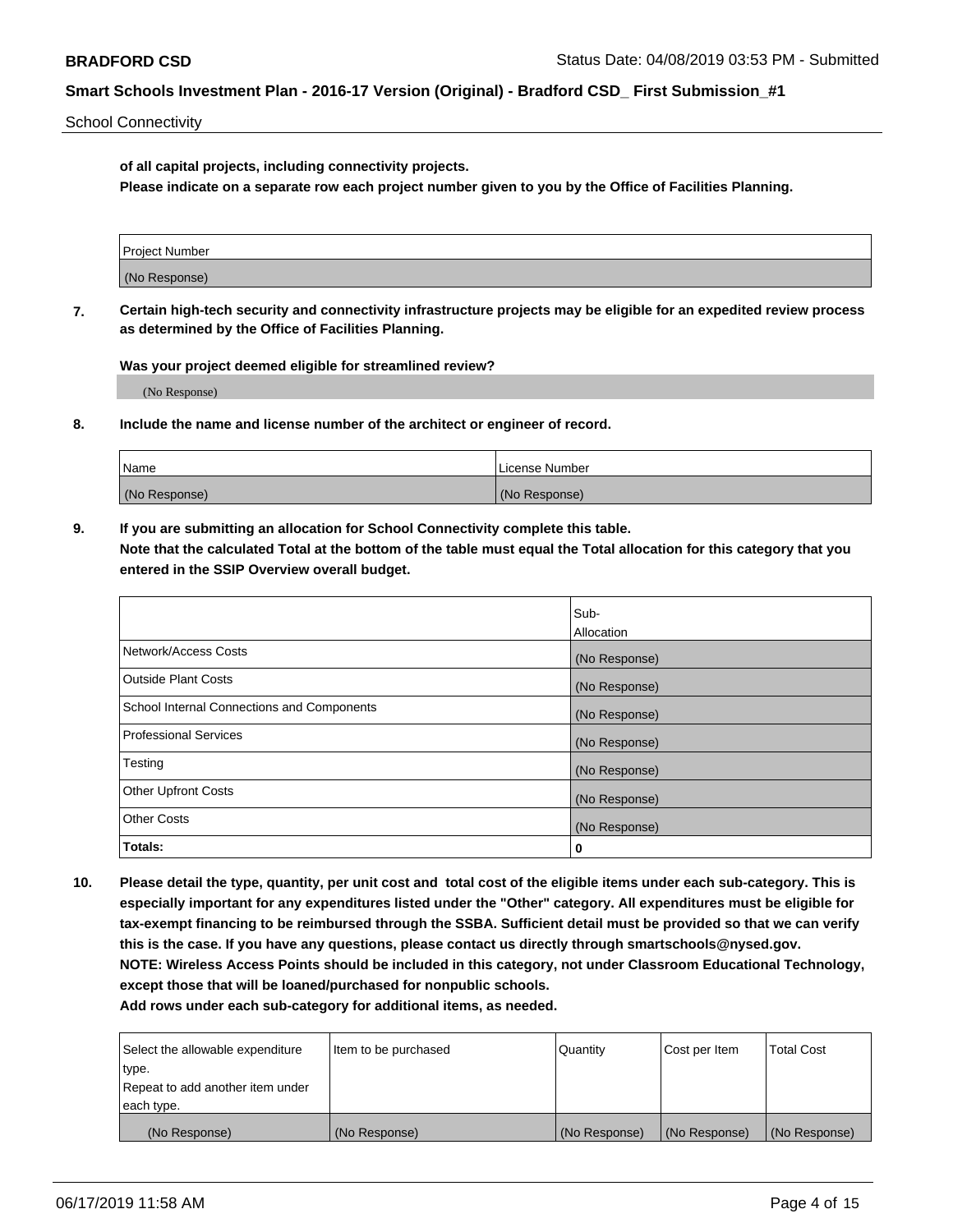School Connectivity

**of all capital projects, including connectivity projects.**

**Please indicate on a separate row each project number given to you by the Office of Facilities Planning.**

| Project Number |  |
|----------------|--|
|                |  |
| (No Response)  |  |
|                |  |

**7. Certain high-tech security and connectivity infrastructure projects may be eligible for an expedited review process as determined by the Office of Facilities Planning.**

**Was your project deemed eligible for streamlined review?**

(No Response)

**8. Include the name and license number of the architect or engineer of record.**

| Name          | License Number |
|---------------|----------------|
| (No Response) | (No Response)  |

**9. If you are submitting an allocation for School Connectivity complete this table. Note that the calculated Total at the bottom of the table must equal the Total allocation for this category that you entered in the SSIP Overview overall budget.** 

|                                            | Sub-              |
|--------------------------------------------|-------------------|
|                                            | <b>Allocation</b> |
| Network/Access Costs                       | (No Response)     |
| <b>Outside Plant Costs</b>                 | (No Response)     |
| School Internal Connections and Components | (No Response)     |
| <b>Professional Services</b>               | (No Response)     |
| Testing                                    | (No Response)     |
| <b>Other Upfront Costs</b>                 | (No Response)     |
| <b>Other Costs</b>                         | (No Response)     |
| Totals:                                    | 0                 |

**10. Please detail the type, quantity, per unit cost and total cost of the eligible items under each sub-category. This is especially important for any expenditures listed under the "Other" category. All expenditures must be eligible for tax-exempt financing to be reimbursed through the SSBA. Sufficient detail must be provided so that we can verify this is the case. If you have any questions, please contact us directly through smartschools@nysed.gov. NOTE: Wireless Access Points should be included in this category, not under Classroom Educational Technology, except those that will be loaned/purchased for nonpublic schools.**

| Select the allowable expenditure | Item to be purchased | Quantity      | Cost per Item | <b>Total Cost</b> |
|----------------------------------|----------------------|---------------|---------------|-------------------|
| type.                            |                      |               |               |                   |
| Repeat to add another item under |                      |               |               |                   |
| each type.                       |                      |               |               |                   |
| (No Response)                    | (No Response)        | (No Response) | (No Response) | (No Response)     |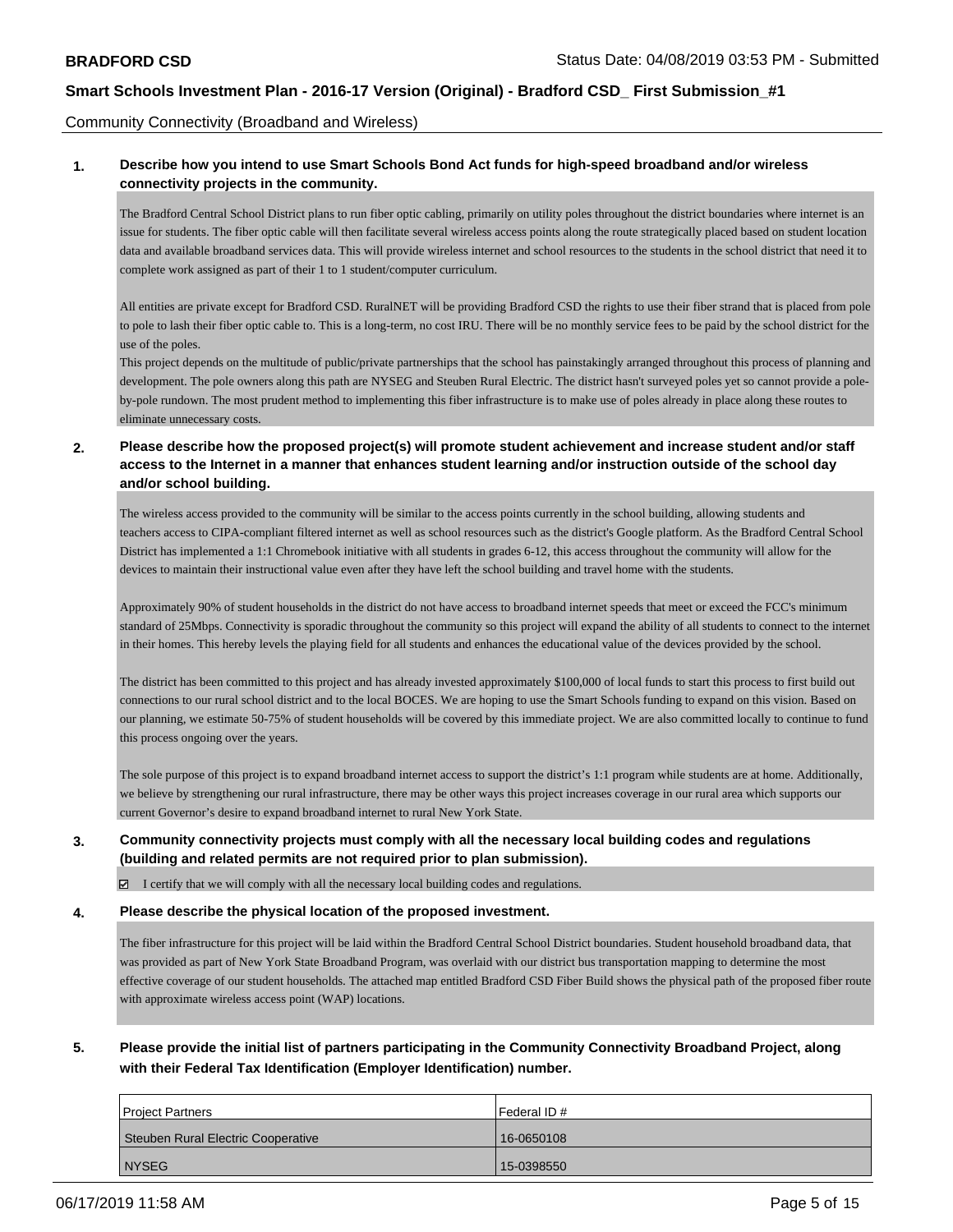Community Connectivity (Broadband and Wireless)

## **1. Describe how you intend to use Smart Schools Bond Act funds for high-speed broadband and/or wireless connectivity projects in the community.**

The Bradford Central School District plans to run fiber optic cabling, primarily on utility poles throughout the district boundaries where internet is an issue for students. The fiber optic cable will then facilitate several wireless access points along the route strategically placed based on student location data and available broadband services data. This will provide wireless internet and school resources to the students in the school district that need it to complete work assigned as part of their 1 to 1 student/computer curriculum.

All entities are private except for Bradford CSD. RuralNET will be providing Bradford CSD the rights to use their fiber strand that is placed from pole to pole to lash their fiber optic cable to. This is a long-term, no cost IRU. There will be no monthly service fees to be paid by the school district for the use of the poles.

This project depends on the multitude of public/private partnerships that the school has painstakingly arranged throughout this process of planning and development. The pole owners along this path are NYSEG and Steuben Rural Electric. The district hasn't surveyed poles yet so cannot provide a poleby-pole rundown. The most prudent method to implementing this fiber infrastructure is to make use of poles already in place along these routes to eliminate unnecessary costs.

## **2. Please describe how the proposed project(s) will promote student achievement and increase student and/or staff access to the Internet in a manner that enhances student learning and/or instruction outside of the school day and/or school building.**

The wireless access provided to the community will be similar to the access points currently in the school building, allowing students and teachers access to CIPA-compliant filtered internet as well as school resources such as the district's Google platform. As the Bradford Central School District has implemented a 1:1 Chromebook initiative with all students in grades 6-12, this access throughout the community will allow for the devices to maintain their instructional value even after they have left the school building and travel home with the students.

Approximately 90% of student households in the district do not have access to broadband internet speeds that meet or exceed the FCC's minimum standard of 25Mbps. Connectivity is sporadic throughout the community so this project will expand the ability of all students to connect to the internet in their homes. This hereby levels the playing field for all students and enhances the educational value of the devices provided by the school.

The district has been committed to this project and has already invested approximately \$100,000 of local funds to start this process to first build out connections to our rural school district and to the local BOCES. We are hoping to use the Smart Schools funding to expand on this vision. Based on our planning, we estimate 50-75% of student households will be covered by this immediate project. We are also committed locally to continue to fund this process ongoing over the years.

The sole purpose of this project is to expand broadband internet access to support the district's 1:1 program while students are at home. Additionally, we believe by strengthening our rural infrastructure, there may be other ways this project increases coverage in our rural area which supports our current Governor's desire to expand broadband internet to rural New York State.

## **3. Community connectivity projects must comply with all the necessary local building codes and regulations (building and related permits are not required prior to plan submission).**

 $\boxtimes$  I certify that we will comply with all the necessary local building codes and regulations.

#### **4. Please describe the physical location of the proposed investment.**

The fiber infrastructure for this project will be laid within the Bradford Central School District boundaries. Student household broadband data, that was provided as part of New York State Broadband Program, was overlaid with our district bus transportation mapping to determine the most effective coverage of our student households. The attached map entitled Bradford CSD Fiber Build shows the physical path of the proposed fiber route with approximate wireless access point (WAP) locations.

# **5. Please provide the initial list of partners participating in the Community Connectivity Broadband Project, along with their Federal Tax Identification (Employer Identification) number.**

| <b>Project Partners</b>            | Federal ID# |
|------------------------------------|-------------|
| Steuben Rural Electric Cooperative | 16-0650108  |
| <b>NYSEG</b>                       | 15-0398550  |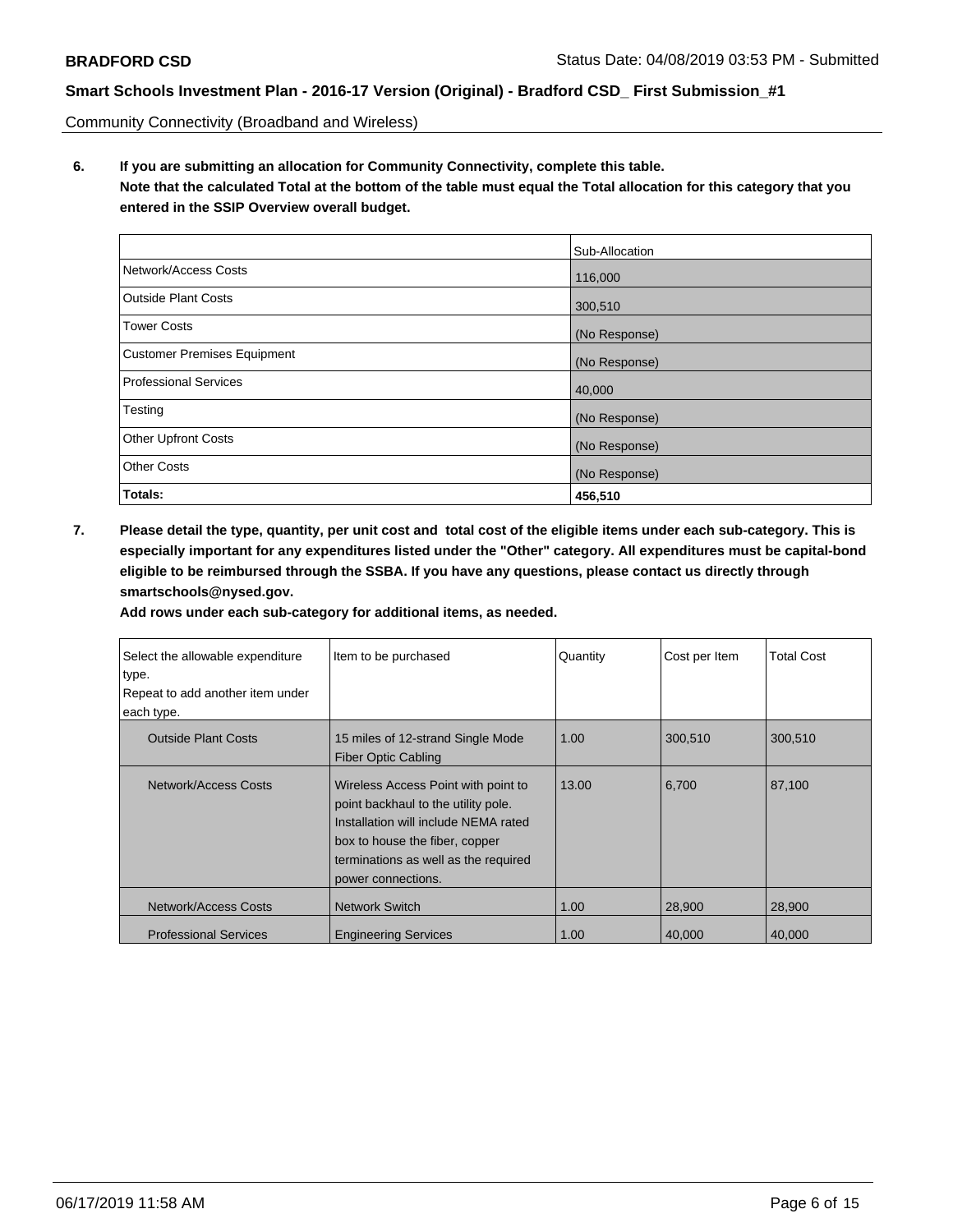Community Connectivity (Broadband and Wireless)

**6. If you are submitting an allocation for Community Connectivity, complete this table. Note that the calculated Total at the bottom of the table must equal the Total allocation for this category that you entered in the SSIP Overview overall budget.**

|                                    | Sub-Allocation |
|------------------------------------|----------------|
| Network/Access Costs               | 116,000        |
| Outside Plant Costs                | 300,510        |
| <b>Tower Costs</b>                 | (No Response)  |
| <b>Customer Premises Equipment</b> | (No Response)  |
| <b>Professional Services</b>       | 40,000         |
| Testing                            | (No Response)  |
| <b>Other Upfront Costs</b>         | (No Response)  |
| <b>Other Costs</b>                 | (No Response)  |
| Totals:                            | 456,510        |

**7. Please detail the type, quantity, per unit cost and total cost of the eligible items under each sub-category. This is especially important for any expenditures listed under the "Other" category. All expenditures must be capital-bond eligible to be reimbursed through the SSBA. If you have any questions, please contact us directly through smartschools@nysed.gov.**

| Select the allowable expenditure<br>type.<br>Repeat to add another item under<br>each type. | Item to be purchased                                                                                                                                                                                               | Quantity | Cost per Item | <b>Total Cost</b> |
|---------------------------------------------------------------------------------------------|--------------------------------------------------------------------------------------------------------------------------------------------------------------------------------------------------------------------|----------|---------------|-------------------|
| <b>Outside Plant Costs</b>                                                                  | 15 miles of 12-strand Single Mode<br><b>Fiber Optic Cabling</b>                                                                                                                                                    | 1.00     | 300,510       | 300,510           |
| Network/Access Costs                                                                        | Wireless Access Point with point to<br>point backhaul to the utility pole.<br>Installation will include NEMA rated<br>box to house the fiber, copper<br>terminations as well as the required<br>power connections. | 13.00    | 6,700         | 87,100            |
| Network/Access Costs                                                                        | <b>Network Switch</b>                                                                                                                                                                                              | 1.00     | 28,900        | 28,900            |
| <b>Professional Services</b>                                                                | <b>Engineering Services</b>                                                                                                                                                                                        | 1.00     | 40,000        | 40,000            |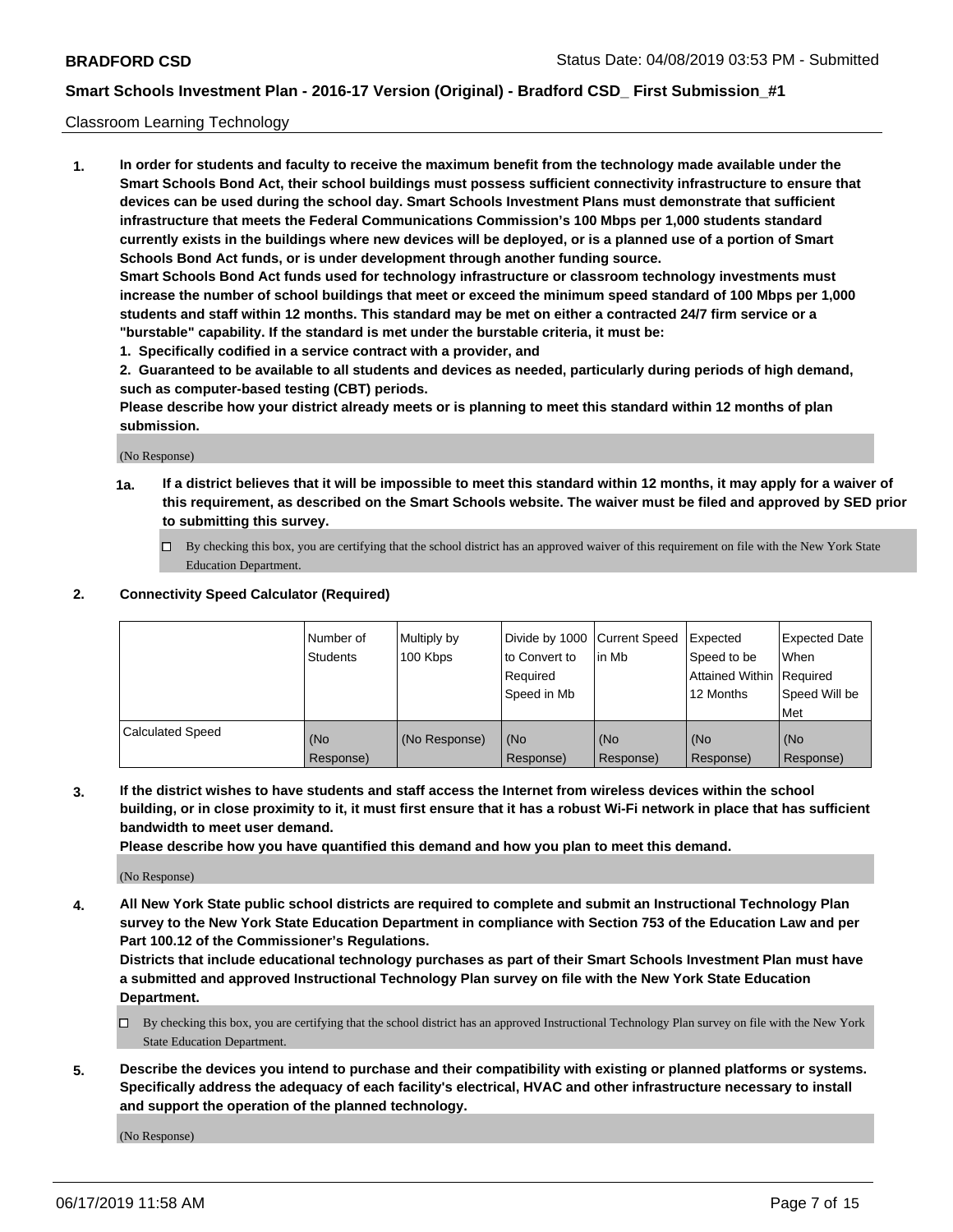#### Classroom Learning Technology

**1. In order for students and faculty to receive the maximum benefit from the technology made available under the Smart Schools Bond Act, their school buildings must possess sufficient connectivity infrastructure to ensure that devices can be used during the school day. Smart Schools Investment Plans must demonstrate that sufficient infrastructure that meets the Federal Communications Commission's 100 Mbps per 1,000 students standard currently exists in the buildings where new devices will be deployed, or is a planned use of a portion of Smart Schools Bond Act funds, or is under development through another funding source. Smart Schools Bond Act funds used for technology infrastructure or classroom technology investments must increase the number of school buildings that meet or exceed the minimum speed standard of 100 Mbps per 1,000 students and staff within 12 months. This standard may be met on either a contracted 24/7 firm service or a**

- **"burstable" capability. If the standard is met under the burstable criteria, it must be:**
- **1. Specifically codified in a service contract with a provider, and**

**2. Guaranteed to be available to all students and devices as needed, particularly during periods of high demand, such as computer-based testing (CBT) periods.**

**Please describe how your district already meets or is planning to meet this standard within 12 months of plan submission.**

(No Response)

- **1a. If a district believes that it will be impossible to meet this standard within 12 months, it may apply for a waiver of this requirement, as described on the Smart Schools website. The waiver must be filed and approved by SED prior to submitting this survey.**
	- By checking this box, you are certifying that the school district has an approved waiver of this requirement on file with the New York State Education Department.

#### **2. Connectivity Speed Calculator (Required)**

|                         | I Number of<br>Students | Multiply by<br>100 Kbps | to Convert to<br>Required<br>Speed in Mb | Divide by 1000 Current Speed Expected<br>lin Mb | Speed to be<br>Attained Within Required<br>12 Months | <b>Expected Date</b><br>When<br>Speed Will be<br>Met |
|-------------------------|-------------------------|-------------------------|------------------------------------------|-------------------------------------------------|------------------------------------------------------|------------------------------------------------------|
| <b>Calculated Speed</b> | (No<br>Response)        | (No Response)           | (No<br>Response)                         | (No<br>Response)                                | (No<br>Response)                                     | (No<br>Response)                                     |

**3. If the district wishes to have students and staff access the Internet from wireless devices within the school building, or in close proximity to it, it must first ensure that it has a robust Wi-Fi network in place that has sufficient bandwidth to meet user demand.**

**Please describe how you have quantified this demand and how you plan to meet this demand.**

(No Response)

**4. All New York State public school districts are required to complete and submit an Instructional Technology Plan survey to the New York State Education Department in compliance with Section 753 of the Education Law and per Part 100.12 of the Commissioner's Regulations.**

**Districts that include educational technology purchases as part of their Smart Schools Investment Plan must have a submitted and approved Instructional Technology Plan survey on file with the New York State Education Department.**

- $\Box$  By checking this box, you are certifying that the school district has an approved Instructional Technology Plan survey on file with the New York State Education Department.
- **5. Describe the devices you intend to purchase and their compatibility with existing or planned platforms or systems. Specifically address the adequacy of each facility's electrical, HVAC and other infrastructure necessary to install and support the operation of the planned technology.**

(No Response)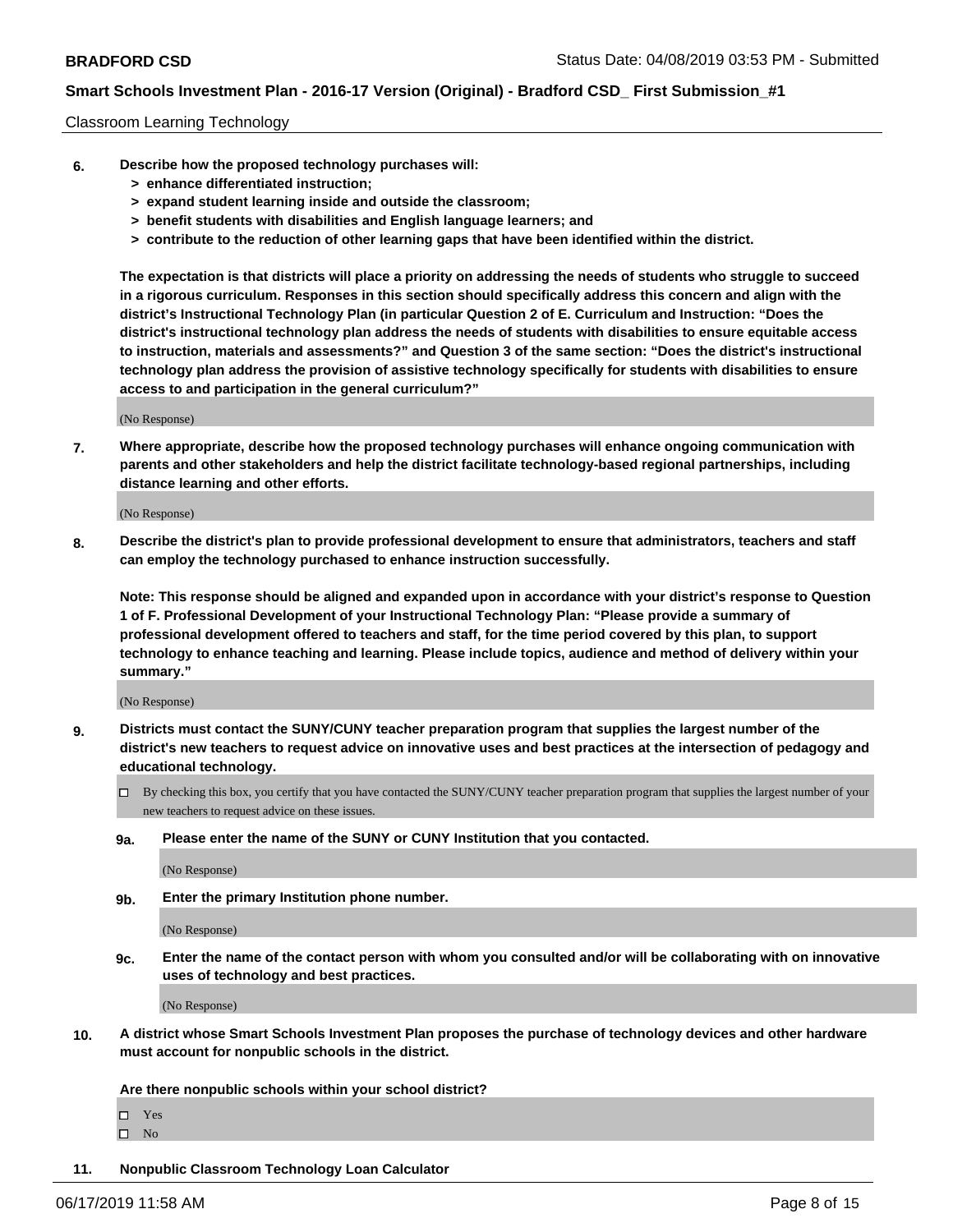#### Classroom Learning Technology

- **6. Describe how the proposed technology purchases will:**
	- **> enhance differentiated instruction;**
	- **> expand student learning inside and outside the classroom;**
	- **> benefit students with disabilities and English language learners; and**
	- **> contribute to the reduction of other learning gaps that have been identified within the district.**

**The expectation is that districts will place a priority on addressing the needs of students who struggle to succeed in a rigorous curriculum. Responses in this section should specifically address this concern and align with the district's Instructional Technology Plan (in particular Question 2 of E. Curriculum and Instruction: "Does the district's instructional technology plan address the needs of students with disabilities to ensure equitable access to instruction, materials and assessments?" and Question 3 of the same section: "Does the district's instructional technology plan address the provision of assistive technology specifically for students with disabilities to ensure access to and participation in the general curriculum?"**

(No Response)

**7. Where appropriate, describe how the proposed technology purchases will enhance ongoing communication with parents and other stakeholders and help the district facilitate technology-based regional partnerships, including distance learning and other efforts.**

(No Response)

**8. Describe the district's plan to provide professional development to ensure that administrators, teachers and staff can employ the technology purchased to enhance instruction successfully.**

**Note: This response should be aligned and expanded upon in accordance with your district's response to Question 1 of F. Professional Development of your Instructional Technology Plan: "Please provide a summary of professional development offered to teachers and staff, for the time period covered by this plan, to support technology to enhance teaching and learning. Please include topics, audience and method of delivery within your summary."**

(No Response)

- **9. Districts must contact the SUNY/CUNY teacher preparation program that supplies the largest number of the district's new teachers to request advice on innovative uses and best practices at the intersection of pedagogy and educational technology.**
	- By checking this box, you certify that you have contacted the SUNY/CUNY teacher preparation program that supplies the largest number of your new teachers to request advice on these issues.
	- **9a. Please enter the name of the SUNY or CUNY Institution that you contacted.**

(No Response)

**9b. Enter the primary Institution phone number.**

(No Response)

**9c. Enter the name of the contact person with whom you consulted and/or will be collaborating with on innovative uses of technology and best practices.**

(No Response)

**10. A district whose Smart Schools Investment Plan proposes the purchase of technology devices and other hardware must account for nonpublic schools in the district.**

**Are there nonpublic schools within your school district?**

Yes

 $\square$  No

**11. Nonpublic Classroom Technology Loan Calculator**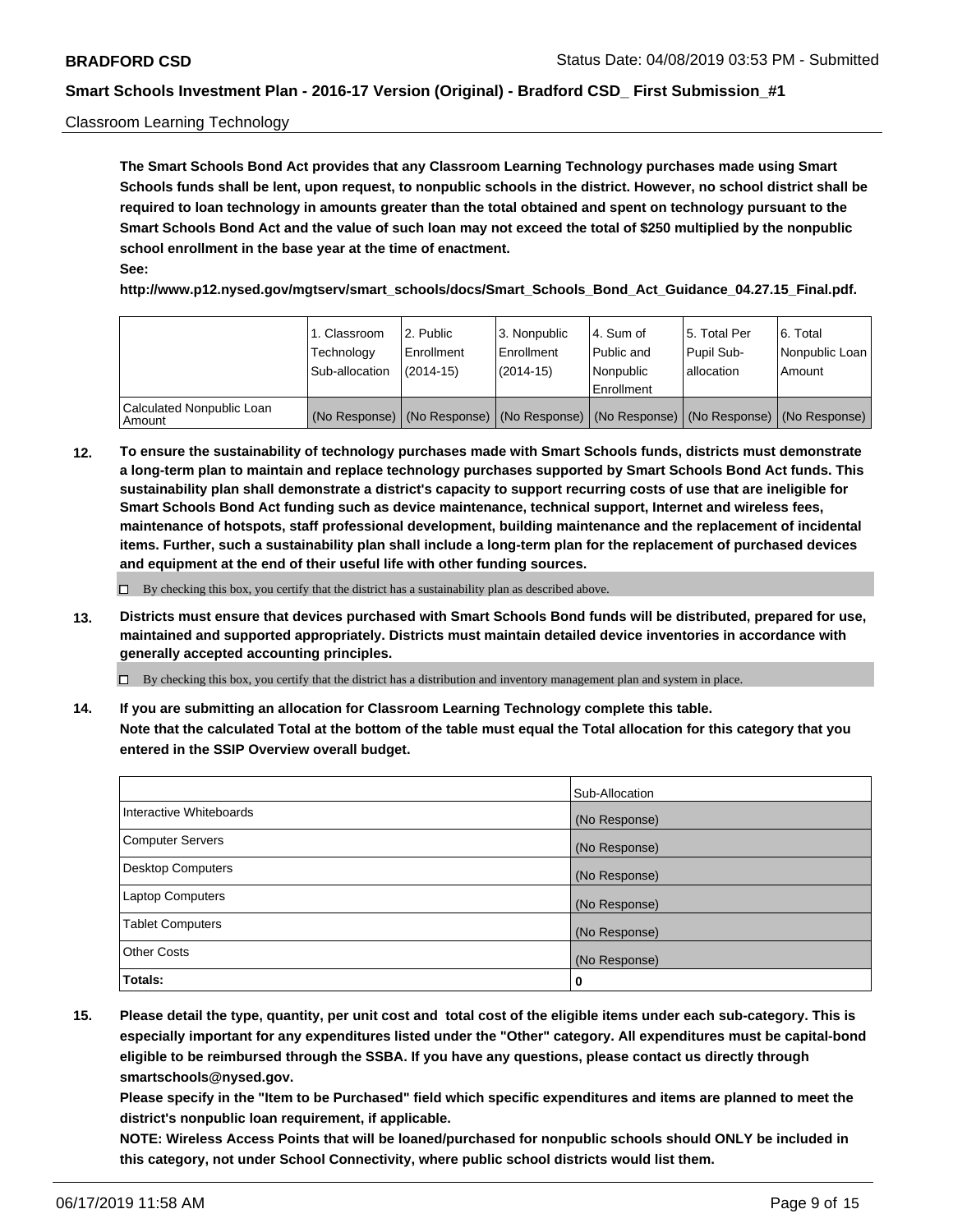#### Classroom Learning Technology

**The Smart Schools Bond Act provides that any Classroom Learning Technology purchases made using Smart Schools funds shall be lent, upon request, to nonpublic schools in the district. However, no school district shall be required to loan technology in amounts greater than the total obtained and spent on technology pursuant to the Smart Schools Bond Act and the value of such loan may not exceed the total of \$250 multiplied by the nonpublic school enrollment in the base year at the time of enactment. See:**

**http://www.p12.nysed.gov/mgtserv/smart\_schools/docs/Smart\_Schools\_Bond\_Act\_Guidance\_04.27.15\_Final.pdf.**

|                                       | 1. Classroom<br>Technology<br>Sub-allocation | l 2. Public<br>Enrollment<br>$(2014-15)$ | 3. Nonpublic<br>l Enrollment<br>$(2014-15)$ | l 4. Sum of<br>Public and<br>l Nonpublic<br>Enrollment                                        | 15. Total Per<br>Pupil Sub-<br>allocation | l 6. Total<br>Nonpublic Loan<br>Amount |
|---------------------------------------|----------------------------------------------|------------------------------------------|---------------------------------------------|-----------------------------------------------------------------------------------------------|-------------------------------------------|----------------------------------------|
| Calculated Nonpublic Loan<br>l Amount |                                              |                                          |                                             | (No Response)   (No Response)   (No Response)   (No Response)   (No Response)   (No Response) |                                           |                                        |

**12. To ensure the sustainability of technology purchases made with Smart Schools funds, districts must demonstrate a long-term plan to maintain and replace technology purchases supported by Smart Schools Bond Act funds. This sustainability plan shall demonstrate a district's capacity to support recurring costs of use that are ineligible for Smart Schools Bond Act funding such as device maintenance, technical support, Internet and wireless fees, maintenance of hotspots, staff professional development, building maintenance and the replacement of incidental items. Further, such a sustainability plan shall include a long-term plan for the replacement of purchased devices and equipment at the end of their useful life with other funding sources.**

 $\Box$  By checking this box, you certify that the district has a sustainability plan as described above.

**13. Districts must ensure that devices purchased with Smart Schools Bond funds will be distributed, prepared for use, maintained and supported appropriately. Districts must maintain detailed device inventories in accordance with generally accepted accounting principles.**

By checking this box, you certify that the district has a distribution and inventory management plan and system in place.

**14. If you are submitting an allocation for Classroom Learning Technology complete this table. Note that the calculated Total at the bottom of the table must equal the Total allocation for this category that you entered in the SSIP Overview overall budget.**

|                          | Sub-Allocation |
|--------------------------|----------------|
| Interactive Whiteboards  | (No Response)  |
| <b>Computer Servers</b>  | (No Response)  |
| <b>Desktop Computers</b> | (No Response)  |
| <b>Laptop Computers</b>  | (No Response)  |
| <b>Tablet Computers</b>  | (No Response)  |
| <b>Other Costs</b>       | (No Response)  |
| Totals:                  | 0              |

**15. Please detail the type, quantity, per unit cost and total cost of the eligible items under each sub-category. This is especially important for any expenditures listed under the "Other" category. All expenditures must be capital-bond eligible to be reimbursed through the SSBA. If you have any questions, please contact us directly through smartschools@nysed.gov.**

**Please specify in the "Item to be Purchased" field which specific expenditures and items are planned to meet the district's nonpublic loan requirement, if applicable.**

**NOTE: Wireless Access Points that will be loaned/purchased for nonpublic schools should ONLY be included in this category, not under School Connectivity, where public school districts would list them.**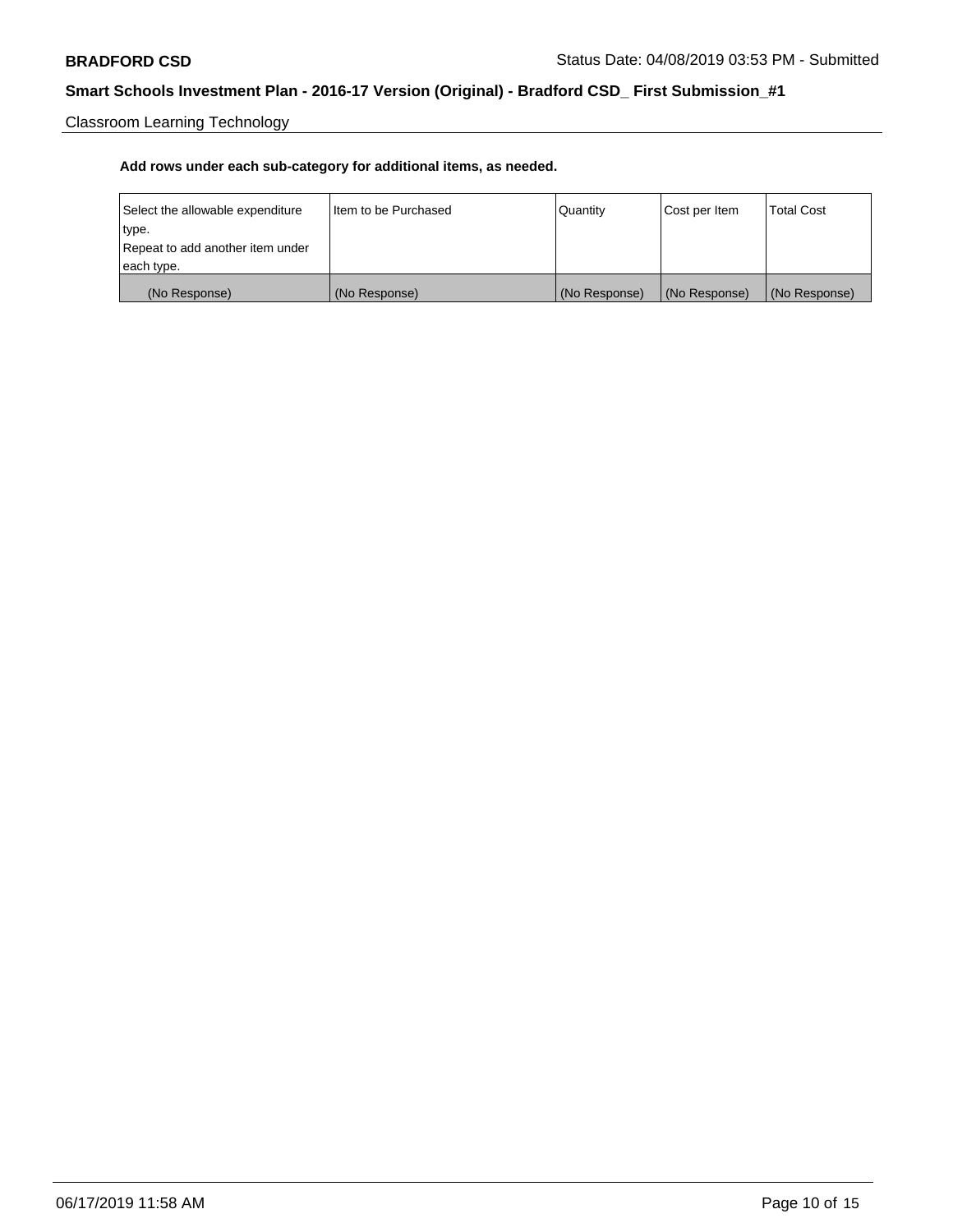Classroom Learning Technology

| Select the allowable expenditure | Iltem to be Purchased | Quantity      | Cost per Item | <b>Total Cost</b> |
|----------------------------------|-----------------------|---------------|---------------|-------------------|
| type.                            |                       |               |               |                   |
| Repeat to add another item under |                       |               |               |                   |
| each type.                       |                       |               |               |                   |
| (No Response)                    | (No Response)         | (No Response) | (No Response) | (No Response)     |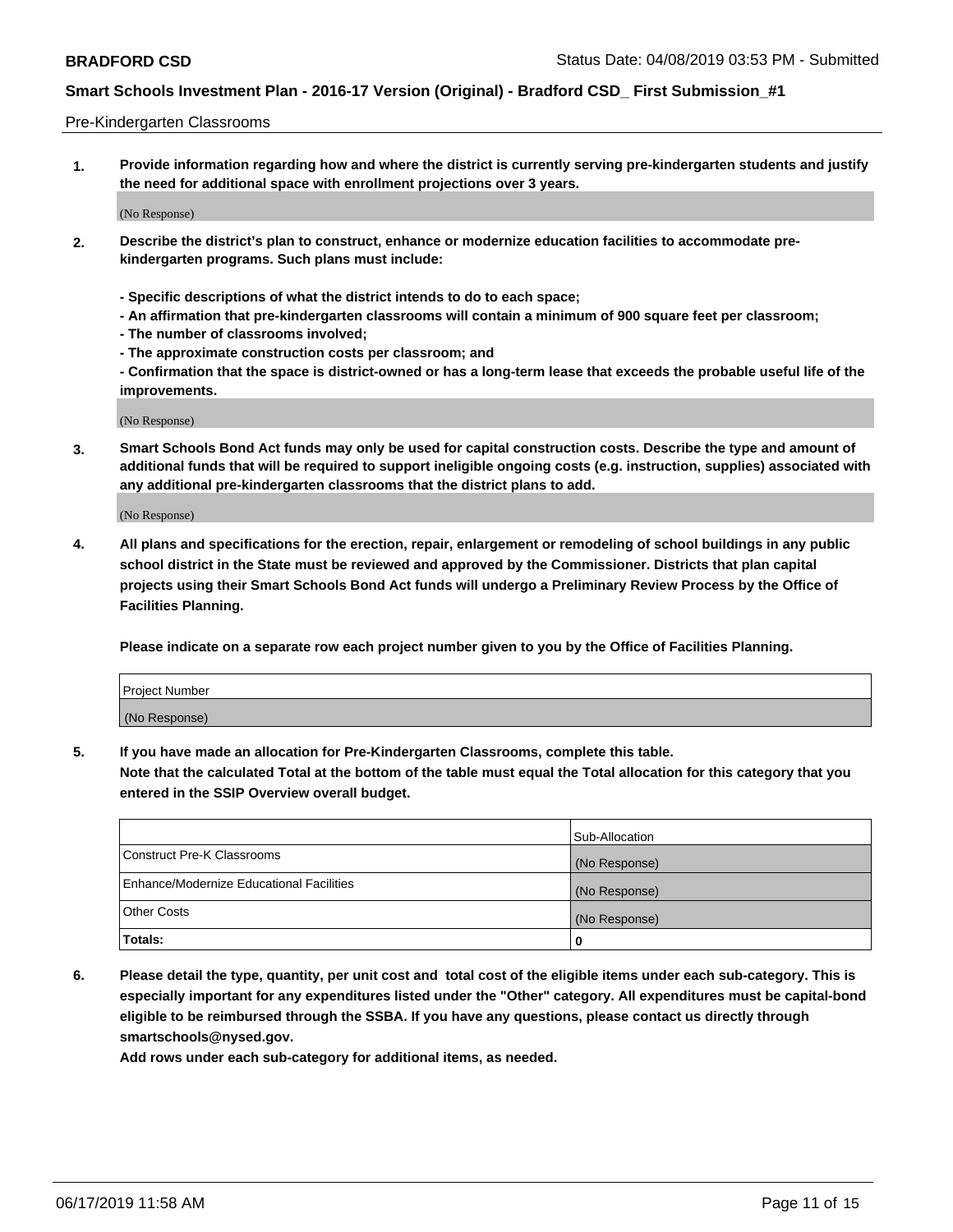#### Pre-Kindergarten Classrooms

**1. Provide information regarding how and where the district is currently serving pre-kindergarten students and justify the need for additional space with enrollment projections over 3 years.**

(No Response)

- **2. Describe the district's plan to construct, enhance or modernize education facilities to accommodate prekindergarten programs. Such plans must include:**
	- **Specific descriptions of what the district intends to do to each space;**
	- **An affirmation that pre-kindergarten classrooms will contain a minimum of 900 square feet per classroom;**
	- **The number of classrooms involved;**
	- **The approximate construction costs per classroom; and**
	- **Confirmation that the space is district-owned or has a long-term lease that exceeds the probable useful life of the improvements.**

(No Response)

**3. Smart Schools Bond Act funds may only be used for capital construction costs. Describe the type and amount of additional funds that will be required to support ineligible ongoing costs (e.g. instruction, supplies) associated with any additional pre-kindergarten classrooms that the district plans to add.**

(No Response)

**4. All plans and specifications for the erection, repair, enlargement or remodeling of school buildings in any public school district in the State must be reviewed and approved by the Commissioner. Districts that plan capital projects using their Smart Schools Bond Act funds will undergo a Preliminary Review Process by the Office of Facilities Planning.**

**Please indicate on a separate row each project number given to you by the Office of Facilities Planning.**

| Project Number |  |
|----------------|--|
| (No Response)  |  |
|                |  |

**5. If you have made an allocation for Pre-Kindergarten Classrooms, complete this table.**

**Note that the calculated Total at the bottom of the table must equal the Total allocation for this category that you entered in the SSIP Overview overall budget.**

|                                          | Sub-Allocation |
|------------------------------------------|----------------|
| Construct Pre-K Classrooms               | (No Response)  |
| Enhance/Modernize Educational Facilities | (No Response)  |
| <b>Other Costs</b>                       | (No Response)  |
| Totals:                                  | 0              |

**6. Please detail the type, quantity, per unit cost and total cost of the eligible items under each sub-category. This is especially important for any expenditures listed under the "Other" category. All expenditures must be capital-bond eligible to be reimbursed through the SSBA. If you have any questions, please contact us directly through smartschools@nysed.gov.**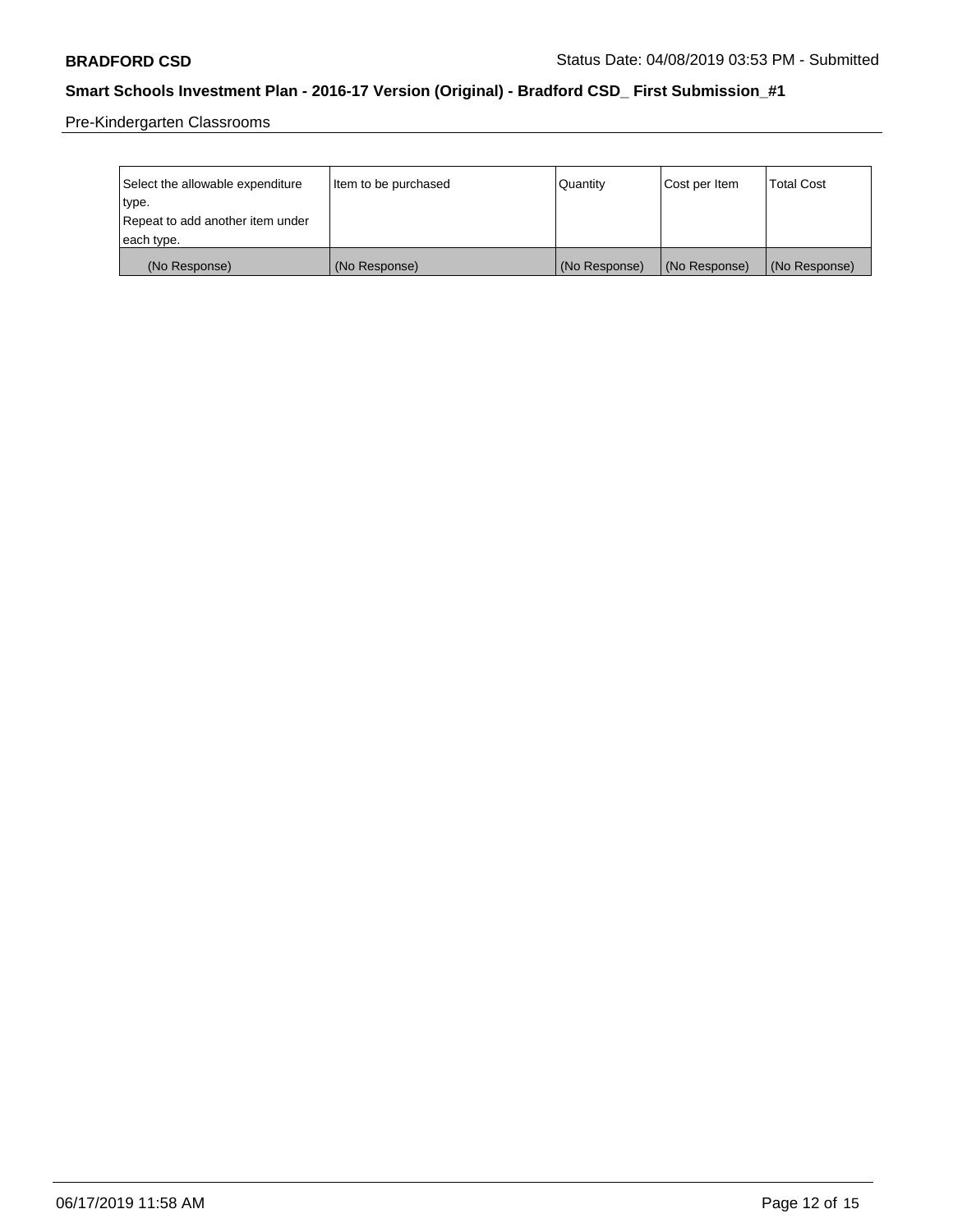Pre-Kindergarten Classrooms

| Select the allowable expenditure | Item to be purchased | Quantity      | Cost per Item | <b>Total Cost</b> |
|----------------------------------|----------------------|---------------|---------------|-------------------|
| type.                            |                      |               |               |                   |
| Repeat to add another item under |                      |               |               |                   |
| each type.                       |                      |               |               |                   |
| (No Response)                    | (No Response)        | (No Response) | (No Response) | (No Response)     |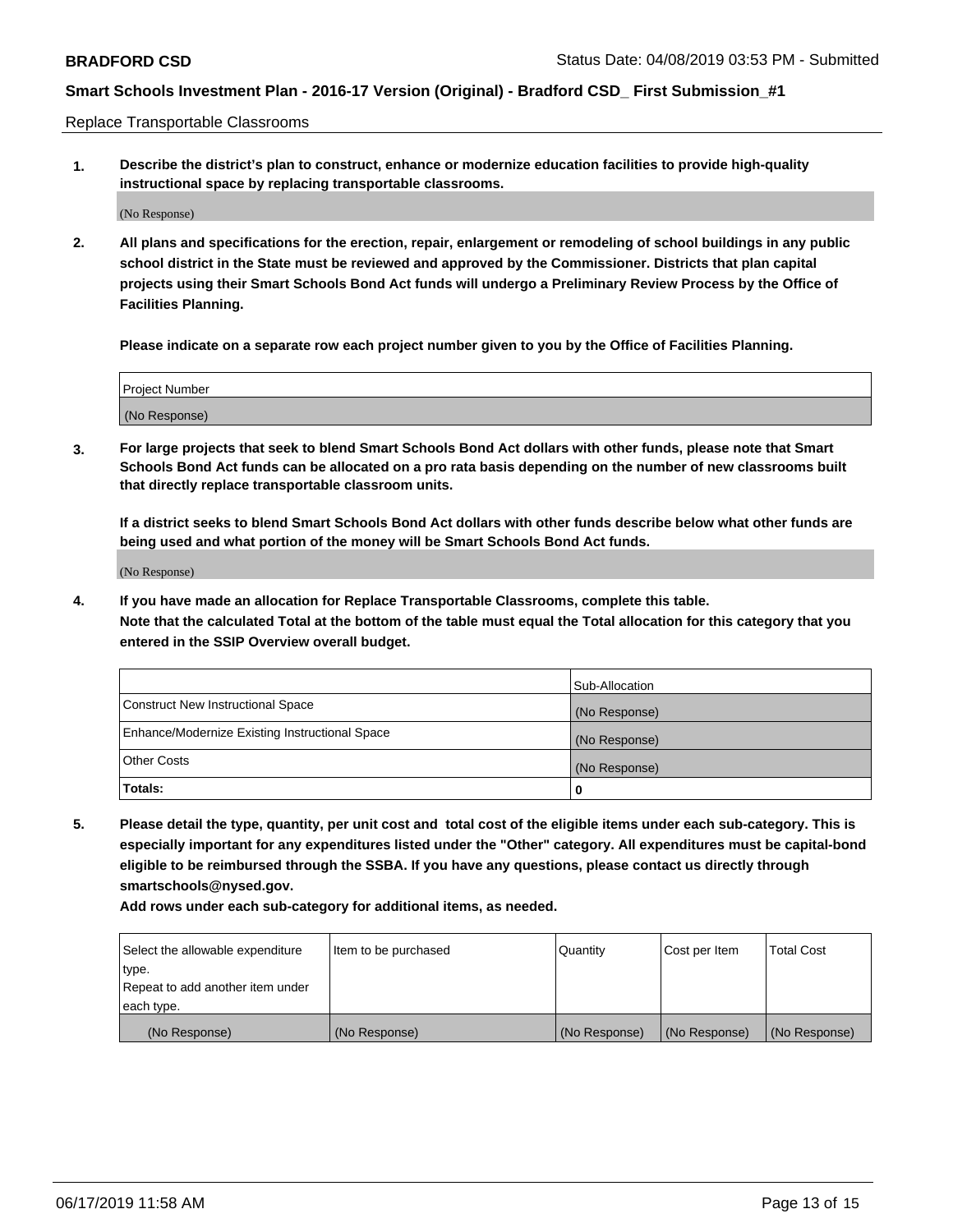Replace Transportable Classrooms

**1. Describe the district's plan to construct, enhance or modernize education facilities to provide high-quality instructional space by replacing transportable classrooms.**

(No Response)

**2. All plans and specifications for the erection, repair, enlargement or remodeling of school buildings in any public school district in the State must be reviewed and approved by the Commissioner. Districts that plan capital projects using their Smart Schools Bond Act funds will undergo a Preliminary Review Process by the Office of Facilities Planning.**

**Please indicate on a separate row each project number given to you by the Office of Facilities Planning.**

| Project Number |  |
|----------------|--|
|                |  |
|                |  |
|                |  |
|                |  |
| (No Response)  |  |
|                |  |
|                |  |
|                |  |

**3. For large projects that seek to blend Smart Schools Bond Act dollars with other funds, please note that Smart Schools Bond Act funds can be allocated on a pro rata basis depending on the number of new classrooms built that directly replace transportable classroom units.**

**If a district seeks to blend Smart Schools Bond Act dollars with other funds describe below what other funds are being used and what portion of the money will be Smart Schools Bond Act funds.**

(No Response)

**4. If you have made an allocation for Replace Transportable Classrooms, complete this table. Note that the calculated Total at the bottom of the table must equal the Total allocation for this category that you entered in the SSIP Overview overall budget.**

|                                                | Sub-Allocation |
|------------------------------------------------|----------------|
| Construct New Instructional Space              | (No Response)  |
| Enhance/Modernize Existing Instructional Space | (No Response)  |
| <b>Other Costs</b>                             | (No Response)  |
| Totals:                                        | 0              |

**5. Please detail the type, quantity, per unit cost and total cost of the eligible items under each sub-category. This is especially important for any expenditures listed under the "Other" category. All expenditures must be capital-bond eligible to be reimbursed through the SSBA. If you have any questions, please contact us directly through smartschools@nysed.gov.**

| Select the allowable expenditure | Item to be purchased | l Quantitv    | Cost per Item | <b>Total Cost</b> |
|----------------------------------|----------------------|---------------|---------------|-------------------|
| type.                            |                      |               |               |                   |
| Repeat to add another item under |                      |               |               |                   |
| each type.                       |                      |               |               |                   |
| (No Response)                    | (No Response)        | (No Response) | (No Response) | (No Response)     |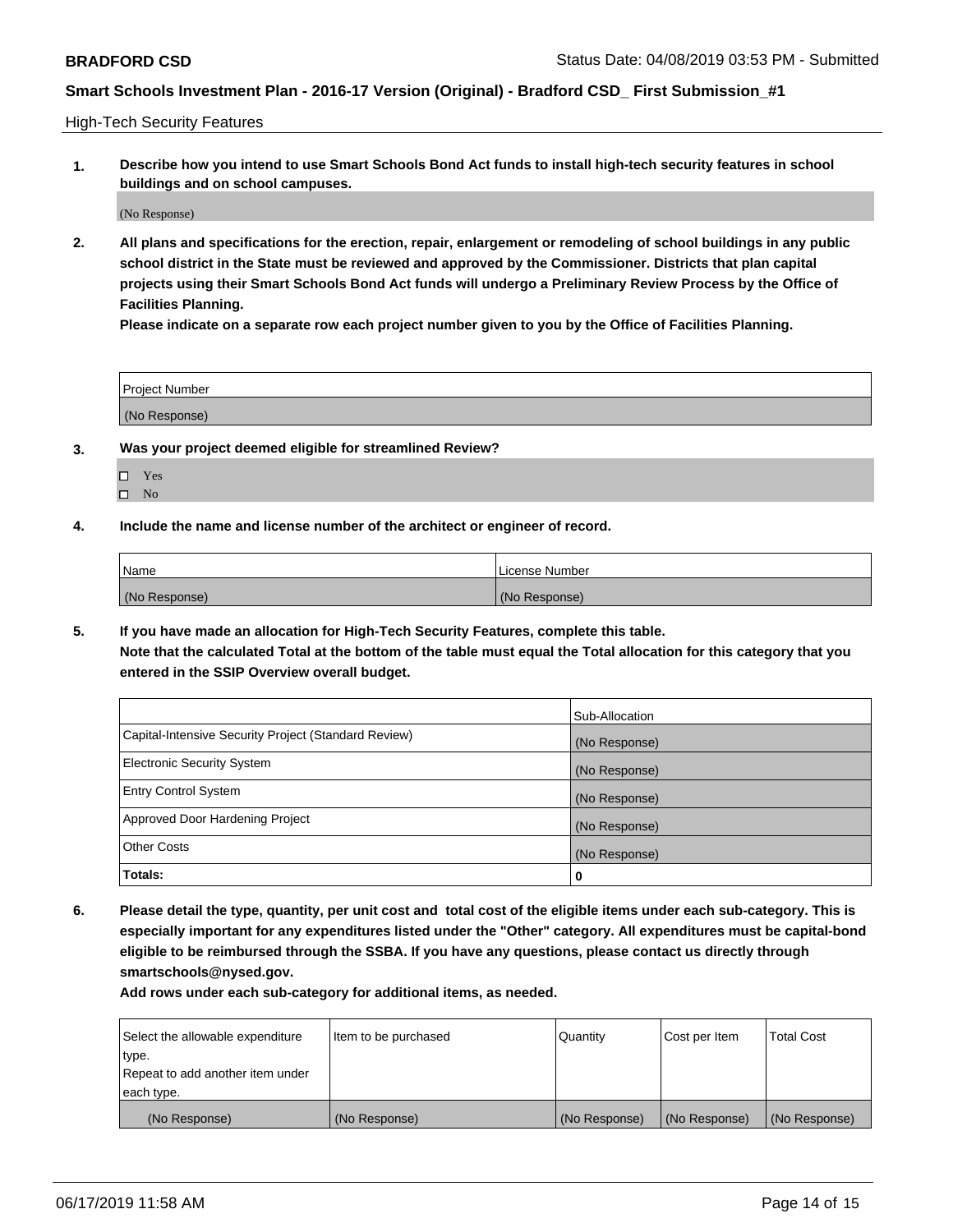High-Tech Security Features

**1. Describe how you intend to use Smart Schools Bond Act funds to install high-tech security features in school buildings and on school campuses.**

(No Response)

**2. All plans and specifications for the erection, repair, enlargement or remodeling of school buildings in any public school district in the State must be reviewed and approved by the Commissioner. Districts that plan capital projects using their Smart Schools Bond Act funds will undergo a Preliminary Review Process by the Office of Facilities Planning.** 

**Please indicate on a separate row each project number given to you by the Office of Facilities Planning.**

| <b>Project Number</b> |  |
|-----------------------|--|
| (No Response)         |  |

- **3. Was your project deemed eligible for streamlined Review?**
	- Yes
	- $\square$  No
- **4. Include the name and license number of the architect or engineer of record.**

| <b>Name</b>   | License Number |
|---------------|----------------|
| (No Response) | (No Response)  |

**5. If you have made an allocation for High-Tech Security Features, complete this table.**

**Note that the calculated Total at the bottom of the table must equal the Total allocation for this category that you entered in the SSIP Overview overall budget.**

|                                                      | Sub-Allocation |
|------------------------------------------------------|----------------|
| Capital-Intensive Security Project (Standard Review) | (No Response)  |
| <b>Electronic Security System</b>                    | (No Response)  |
| <b>Entry Control System</b>                          | (No Response)  |
| Approved Door Hardening Project                      | (No Response)  |
| <b>Other Costs</b>                                   | (No Response)  |
| Totals:                                              | 0              |

**6. Please detail the type, quantity, per unit cost and total cost of the eligible items under each sub-category. This is especially important for any expenditures listed under the "Other" category. All expenditures must be capital-bond eligible to be reimbursed through the SSBA. If you have any questions, please contact us directly through smartschools@nysed.gov.**

| Select the allowable expenditure | Item to be purchased | Quantity      | Cost per Item | <b>Total Cost</b> |
|----------------------------------|----------------------|---------------|---------------|-------------------|
| type.                            |                      |               |               |                   |
| Repeat to add another item under |                      |               |               |                   |
| each type.                       |                      |               |               |                   |
| (No Response)                    | (No Response)        | (No Response) | (No Response) | (No Response)     |